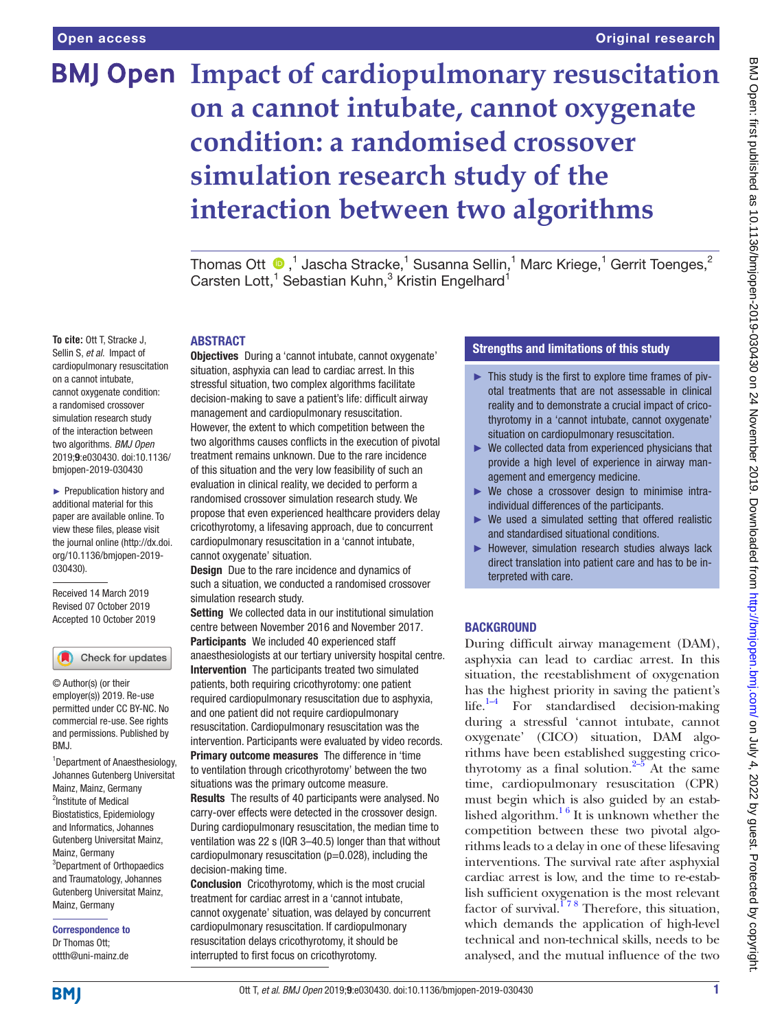# **BMJ Open Impact of cardiopulmonary resuscitation on a cannot intubate, cannot oxygenate condition: a randomised crossover simulation research study of the interaction between two algorithms**

Thomas Ott  $\bigcirc$  ,<sup>1</sup> Jascha Stracke,<sup>1</sup> Susanna Sellin,<sup>1</sup> Marc Kriege,<sup>1</sup> Gerrit Toenges,<sup>2</sup> Carsten Lott,<sup>1</sup> Sebastian Kuhn,<sup>3</sup> Kristin Engelhard<sup>1</sup>

#### ABSTRACT

**To cite:** Ott T, Stracke J, Sellin S, *et al*. Impact of cardiopulmonary resuscitation on a cannot intubate, cannot oxygenate condition: a randomised crossover simulation research study of the interaction between two algorithms. *BMJ Open* 2019;9:e030430. doi:10.1136/ bmjopen-2019-030430

► Prepublication history and additional material for this paper are available online. To view these files, please visit the journal online (http://dx.doi. org/10.1136/bmjopen-2019- 030430).

Received 14 March 2019 Revised 07 October 2019 Accepted 10 October 2019

#### Check for updates

© Author(s) (or their employer(s)) 2019. Re-use permitted under CC BY-NC. No commercial re-use. See rights and permissions. Published by BMJ.

1 Department of Anaesthesiology, Johannes Gutenberg Universitat Mainz, Mainz, Germany <sup>2</sup>Institute of Medical Biostatistics, Epidemiology and Informatics, Johannes Gutenberg Universitat Mainz, Mainz, Germany 3 Department of Orthopaedics and Traumatology, Johannes Gutenberg Universitat Mainz, Mainz, Germany

Correspondence to Dr Thomas Ott; ottth@uni-mainz.de

Objectives During a 'cannot intubate, cannot oxygenate' situation, asphyxia can lead to cardiac arrest. In this stressful situation, two complex algorithms facilitate decision-making to save a patient's life: difficult airway management and cardiopulmonary resuscitation. However, the extent to which competition between the two algorithms causes conflicts in the execution of pivotal treatment remains unknown. Due to the rare incidence of this situation and the very low feasibility of such an evaluation in clinical reality, we decided to perform a randomised crossover simulation research study. We propose that even experienced healthcare providers delay cricothyrotomy, a lifesaving approach, due to concurrent cardiopulmonary resuscitation in a 'cannot intubate, cannot oxygenate' situation.

Design Due to the rare incidence and dynamics of such a situation, we conducted a randomised crossover simulation research study.

Setting We collected data in our institutional simulation centre between November 2016 and November 2017. Participants We included 40 experienced staff anaesthesiologists at our tertiary university hospital centre. Intervention The participants treated two simulated patients, both requiring cricothyrotomy: one patient required cardiopulmonary resuscitation due to asphyxia, and one patient did not require cardiopulmonary resuscitation. Cardiopulmonary resuscitation was the intervention. Participants were evaluated by video records. **Primary outcome measures** The difference in 'time

to ventilation through cricothyrotomy' between the two situations was the primary outcome measure.

Results The results of 40 participants were analysed. No carry-over effects were detected in the crossover design. During cardiopulmonary resuscitation, the median time to ventilation was 22 s (IQR 3–40.5) longer than that without cardiopulmonary resuscitation (p=0.028), including the decision-making time.

Conclusion Cricothyrotomy, which is the most crucial treatment for cardiac arrest in a 'cannot intubate, cannot oxygenate' situation, was delayed by concurrent cardiopulmonary resuscitation. If cardiopulmonary resuscitation delays cricothyrotomy, it should be interrupted to first focus on cricothyrotomy.

# Strengths and limitations of this study

- ► This study is the first to explore time frames of pivotal treatments that are not assessable in clinical reality and to demonstrate a crucial impact of cricothyrotomy in a 'cannot intubate, cannot oxygenate' situation on cardiopulmonary resuscitation.
- $\blacktriangleright$  We collected data from experienced physicians that provide a high level of experience in airway management and emergency medicine.
- ► We chose a crossover design to minimise intraindividual differences of the participants.
- ► We used a simulated setting that offered realistic and standardised situational conditions.
- ► However, simulation research studies always lack direct translation into patient care and has to be interpreted with care.

#### **BACKGROUND**

During difficult airway management (DAM), asphyxia can lead to cardiac arrest. In this situation, the reestablishment of oxygenation has the highest priority in saving the patient's  $life.<sup>1-4</sup> For standardised decision-making$ during a stressful 'cannot intubate, cannot oxygenate' (CICO) situation, DAM algorithms have been established suggesting cricothyrotomy as a final solution. $2-5$  At the same time, cardiopulmonary resuscitation (CPR) must begin which is also guided by an established algorithm. $16$  It is unknown whether the competition between these two pivotal algorithms leads to a delay in one of these lifesaving interventions. The survival rate after asphyxial cardiac arrest is low, and the time to re-establish sufficient oxygenation is the most relevant factor of survival.<sup>178</sup> Therefore, this situation, which demands the application of high-level technical and non-technical skills, needs to be analysed, and the mutual influence of the two

**BMI**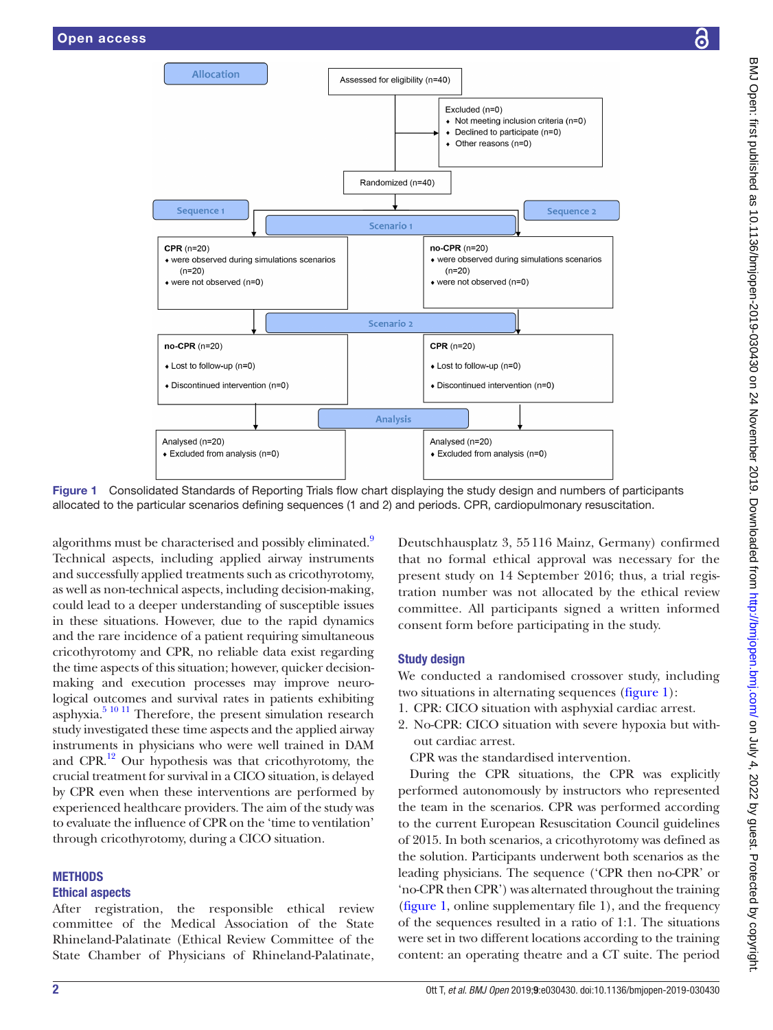

Figure 1 Consolidated Standards of Reporting Trials flow chart displaying the study design and numbers of participants allocated to the particular scenarios defining sequences (1 and 2) and periods. CPR, cardiopulmonary resuscitation.

algorithms must be characterised and possibly eliminated.<sup>9</sup> Technical aspects, including applied airway instruments and successfully applied treatments such as cricothyrotomy, as well as non-technical aspects, including decision-making, could lead to a deeper understanding of susceptible issues in these situations. However, due to the rapid dynamics and the rare incidence of a patient requiring simultaneous cricothyrotomy and CPR, no reliable data exist regarding the time aspects of this situation; however, quicker decisionmaking and execution processes may improve neurological outcomes and survival rates in patients exhibiting asphyxia.<sup>5 10 11</sup> Therefore, the present simulation research study investigated these time aspects and the applied airway instruments in physicians who were well trained in DAM and CPR. $^{12}$  Our hypothesis was that cricothyrotomy, the crucial treatment for survival in a CICO situation, is delayed by CPR even when these interventions are performed by experienced healthcare providers. The aim of the study was to evaluate the influence of CPR on the 'time to ventilation' through cricothyrotomy, during a CICO situation.

# **METHODS**

# Ethical aspects

After registration, the responsible ethical review committee of the Medical Association of the State Rhineland-Palatinate (Ethical Review Committee of the State Chamber of Physicians of Rhineland-Palatinate,

<span id="page-1-0"></span>Deutschhausplatz 3, 55116 Mainz, Germany) confirmed that no formal ethical approval was necessary for the present study on 14 September 2016; thus, a trial registration number was not allocated by the ethical review committee. All participants signed a written informed consent form before participating in the study.

# Study design

We conducted a randomised crossover study, including two situations in alternating sequences ([figure](#page-1-0) 1):

- 1. CPR: CICO situation with asphyxial cardiac arrest.
- 2. No-CPR: CICO situation with severe hypoxia but without cardiac arrest.

CPR was the standardised intervention.

During the CPR situations, the CPR was explicitly performed autonomously by instructors who represented the team in the scenarios. CPR was performed according to the current European Resuscitation Council guidelines of 2015. In both scenarios, a cricothyrotomy was defined as the solution. Participants underwent both scenarios as the leading physicians. The sequence ('CPR then no-CPR' or 'no-CPR then CPR') was alternated throughout the training [\(figure](#page-1-0) 1, [online supplementary file 1](https://dx.doi.org/10.1136/bmjopen-2019-030430)), and the frequency of the sequences resulted in a ratio of 1:1. The situations were set in two different locations according to the training content: an operating theatre and a CT suite. The period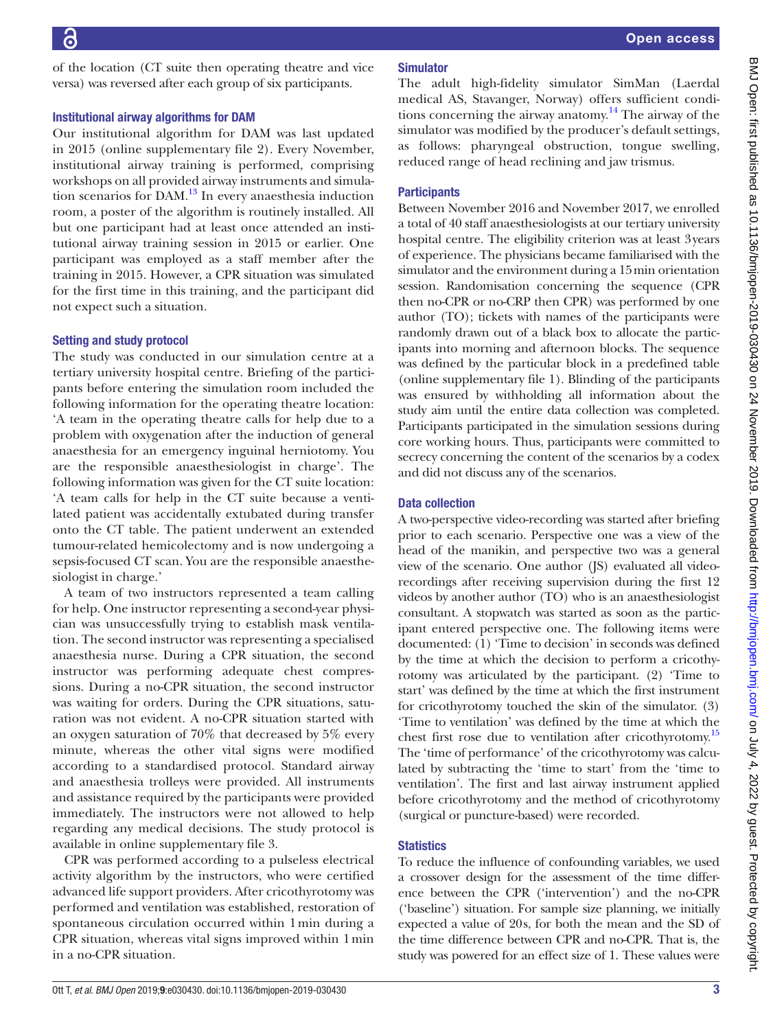of the location (CT suite then operating theatre and vice versa) was reversed after each group of six participants.

#### Institutional airway algorithms for DAM

Our institutional algorithm for DAM was last updated in 2015 [\(online supplementary file 2](https://dx.doi.org/10.1136/bmjopen-2019-030430)). Every November, institutional airway training is performed, comprising workshops on all provided airway instruments and simula-tion scenarios for DAM.<sup>[13](#page-7-1)</sup> In every anaesthesia induction room, a poster of the algorithm is routinely installed. All but one participant had at least once attended an institutional airway training session in 2015 or earlier. One participant was employed as a staff member after the training in 2015. However, a CPR situation was simulated for the first time in this training, and the participant did not expect such a situation.

## Setting and study protocol

The study was conducted in our simulation centre at a tertiary university hospital centre. Briefing of the participants before entering the simulation room included the following information for the operating theatre location: 'A team in the operating theatre calls for help due to a problem with oxygenation after the induction of general anaesthesia for an emergency inguinal herniotomy. You are the responsible anaesthesiologist in charge'. The following information was given for the CT suite location: 'A team calls for help in the CT suite because a ventilated patient was accidentally extubated during transfer onto the CT table. The patient underwent an extended tumour-related hemicolectomy and is now undergoing a sepsis-focused CT scan. You are the responsible anaesthesiologist in charge.'

A team of two instructors represented a team calling for help. One instructor representing a second-year physician was unsuccessfully trying to establish mask ventilation. The second instructor was representing a specialised anaesthesia nurse. During a CPR situation, the second instructor was performing adequate chest compressions. During a no-CPR situation, the second instructor was waiting for orders. During the CPR situations, saturation was not evident. A no-CPR situation started with an oxygen saturation of 70% that decreased by 5% every minute, whereas the other vital signs were modified according to a standardised protocol. Standard airway and anaesthesia trolleys were provided. All instruments and assistance required by the participants were provided immediately. The instructors were not allowed to help regarding any medical decisions. The study protocol is available in [online supplementary file 3.](https://dx.doi.org/10.1136/bmjopen-2019-030430)

CPR was performed according to a pulseless electrical activity algorithm by the instructors, who were certified advanced life support providers. After cricothyrotomy was performed and ventilation was established, restoration of spontaneous circulation occurred within 1min during a CPR situation, whereas vital signs improved within 1min in a no-CPR situation.

# Simulator

The adult high-fidelity simulator SimMan (Laerdal medical AS, Stavanger, Norway) offers sufficient conditions concerning the airway anatomy.<sup>14</sup> The airway of the simulator was modified by the producer's default settings, as follows: pharyngeal obstruction, tongue swelling, reduced range of head reclining and jaw trismus.

# **Participants**

Between November 2016 and November 2017, we enrolled a total of 40 staff anaesthesiologists at our tertiary university hospital centre. The eligibility criterion was at least 3years of experience. The physicians became familiarised with the simulator and the environment during a 15min orientation session. Randomisation concerning the sequence (CPR then no-CPR or no-CRP then CPR) was performed by one author (TO); tickets with names of the participants were randomly drawn out of a black box to allocate the participants into morning and afternoon blocks. The sequence was defined by the particular block in a predefined table [\(online supplementary file 1](https://dx.doi.org/10.1136/bmjopen-2019-030430)). Blinding of the participants was ensured by withholding all information about the study aim until the entire data collection was completed. Participants participated in the simulation sessions during core working hours. Thus, participants were committed to secrecy concerning the content of the scenarios by a codex and did not discuss any of the scenarios.

## Data collection

A two-perspective video-recording was started after briefing prior to each scenario. Perspective one was a view of the head of the manikin, and perspective two was a general view of the scenario. One author (JS) evaluated all videorecordings after receiving supervision during the first 12 videos by another author (TO) who is an anaesthesiologist consultant. A stopwatch was started as soon as the participant entered perspective one. The following items were documented: (1) 'Time to decision' in seconds was defined by the time at which the decision to perform a cricothyrotomy was articulated by the participant. (2) 'Time to start' was defined by the time at which the first instrument for cricothyrotomy touched the skin of the simulator. (3) 'Time to ventilation' was defined by the time at which the chest first rose due to ventilation after cricothyrotomy[.15](#page-7-3) The 'time of performance' of the cricothyrotomy was calculated by subtracting the 'time to start' from the 'time to ventilation'. The first and last airway instrument applied before cricothyrotomy and the method of cricothyrotomy (surgical or puncture-based) were recorded.

## **Statistics**

To reduce the influence of confounding variables, we used a crossover design for the assessment of the time difference between the CPR ('intervention') and the no-CPR ('baseline') situation. For sample size planning, we initially expected a value of 20s, for both the mean and the SD of the time difference between CPR and no-CPR. That is, the study was powered for an effect size of 1. These values were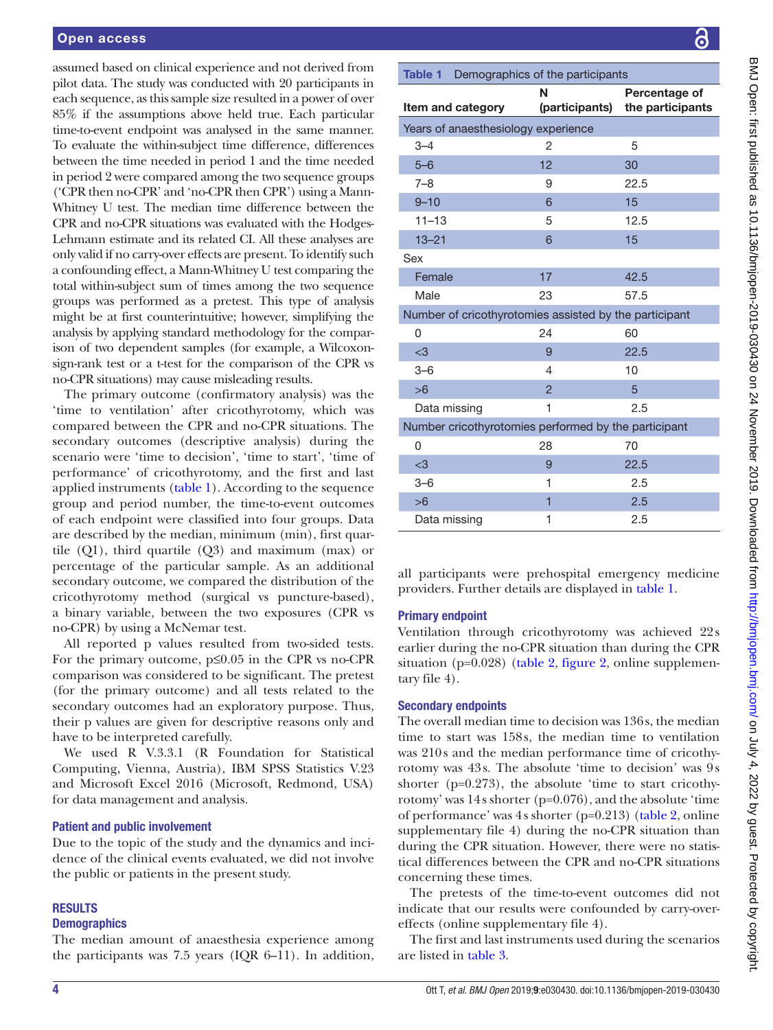assumed based on clinical experience and not derived from pilot data. The study was conducted with 20 participants in each sequence, as this sample size resulted in a power of over 85% if the assumptions above held true. Each particular time-to-event endpoint was analysed in the same manner. To evaluate the within-subject time difference, differences between the time needed in period 1 and the time needed in period 2 were compared among the two sequence groups ('CPR then no-CPR' and 'no-CPR then CPR') using a Mann-Whitney U test. The median time difference between the CPR and no-CPR situations was evaluated with the Hodges-Lehmann estimate and its related CI. All these analyses are only valid if no carry-over effects are present. To identify such a confounding effect, a Mann-Whitney U test comparing the total within-subject sum of times among the two sequence groups was performed as a pretest. This type of analysis might be at first counterintuitive; however, simplifying the analysis by applying standard methodology for the comparison of two dependent samples (for example, a Wilcoxonsign-rank test or a t-test for the comparison of the CPR vs no-CPR situations) may cause misleading results.

The primary outcome (confirmatory analysis) was the 'time to ventilation' after cricothyrotomy, which was compared between the CPR and no-CPR situations. The secondary outcomes (descriptive analysis) during the scenario were 'time to decision', 'time to start', 'time of performance' of cricothyrotomy, and the first and last applied instruments [\(table](#page-3-0) 1). According to the sequence group and period number, the time-to-event outcomes of each endpoint were classified into four groups. Data are described by the median, minimum (min), first quartile (Q1), third quartile (Q3) and maximum (max) or percentage of the particular sample. As an additional secondary outcome, we compared the distribution of the cricothyrotomy method (surgical vs puncture-based), a binary variable, between the two exposures (CPR vs no-CPR) by using a McNemar test.

All reported p values resulted from two-sided tests. For the primary outcome,  $p \leq 0.05$  in the CPR vs no-CPR comparison was considered to be significant. The pretest (for the primary outcome) and all tests related to the secondary outcomes had an exploratory purpose. Thus, their p values are given for descriptive reasons only and have to be interpreted carefully.

We used R V.3.3.1 (R Foundation for Statistical Computing, Vienna, Austria), IBM SPSS Statistics V.23 and Microsoft Excel 2016 (Microsoft, Redmond, USA) for data management and analysis.

#### Patient and public involvement

Due to the topic of the study and the dynamics and incidence of the clinical events evaluated, we did not involve the public or patients in the present study.

#### **RESULTS**

#### **Demographics**

The median amount of anaesthesia experience among the participants was 7.5 years (IQR 6–11). In addition,

<span id="page-3-0"></span>

| Demographics of the participants<br>Table 1            |                     |                                   |  |  |
|--------------------------------------------------------|---------------------|-----------------------------------|--|--|
| Item and category                                      | N<br>(participants) | Percentage of<br>the participants |  |  |
| Years of anaesthesiology experience                    |                     |                                   |  |  |
| $3 - 4$                                                | 2                   | 5                                 |  |  |
| $5 - 6$                                                | 12                  | 30                                |  |  |
| $7 - 8$                                                | 9                   | 22.5                              |  |  |
| $9 - 10$                                               | 6                   | 15                                |  |  |
| $11 - 13$                                              | 5                   | 12.5                              |  |  |
| $13 - 21$                                              | 6                   | 15                                |  |  |
| Sex                                                    |                     |                                   |  |  |
| Female                                                 | 17                  | 42.5                              |  |  |
| Male                                                   | 23                  | 57.5                              |  |  |
| Number of cricothyrotomies assisted by the participant |                     |                                   |  |  |
| 0                                                      | 24                  | 60                                |  |  |
| $<$ 3                                                  | 9                   | 22.5                              |  |  |
| $3 - 6$                                                | $\overline{4}$      | 10                                |  |  |
| >6                                                     | $\mathfrak{p}$      | 5                                 |  |  |
| Data missing                                           | 1                   | 2.5                               |  |  |
| Number cricothyrotomies performed by the participant   |                     |                                   |  |  |
| 0                                                      | 28                  | 70                                |  |  |
| $<$ 3                                                  | 9                   | 22.5                              |  |  |
| $3 - 6$                                                | 1                   | 2.5                               |  |  |
| >6                                                     | 1                   | 2.5                               |  |  |
| Data missing                                           | 1                   | 2.5                               |  |  |

all participants were prehospital emergency medicine providers. Further details are displayed in [table](#page-3-0) 1.

# Primary endpoint

Ventilation through cricothyrotomy was achieved 22s earlier during the no-CPR situation than during the CPR situation (p=0.028) [\(table](#page-4-0) 2, [figure](#page-4-1) 2, [online supplemen](https://dx.doi.org/10.1136/bmjopen-2019-030430)[tary file 4](https://dx.doi.org/10.1136/bmjopen-2019-030430)).

# Secondary endpoints

The overall median time to decision was 136s, the median time to start was 158s, the median time to ventilation was 210s and the median performance time of cricothyrotomy was 43s. The absolute 'time to decision' was 9s shorter ( $p=0.273$ ), the absolute 'time to start cricothyrotomy' was 14s shorter (p=0.076), and the absolute 'time of performance' was 4s shorter (p=0.213) ([table](#page-4-0) 2, [online](https://dx.doi.org/10.1136/bmjopen-2019-030430)  [supplementary file 4\)](https://dx.doi.org/10.1136/bmjopen-2019-030430) during the no-CPR situation than during the CPR situation. However, there were no statistical differences between the CPR and no-CPR situations concerning these times.

The pretests of the time-to-event outcomes did not indicate that our results were confounded by carry-overeffects ([online supplementary file 4](https://dx.doi.org/10.1136/bmjopen-2019-030430)).

The first and last instruments used during the scenarios are listed in [table](#page-4-2) 3.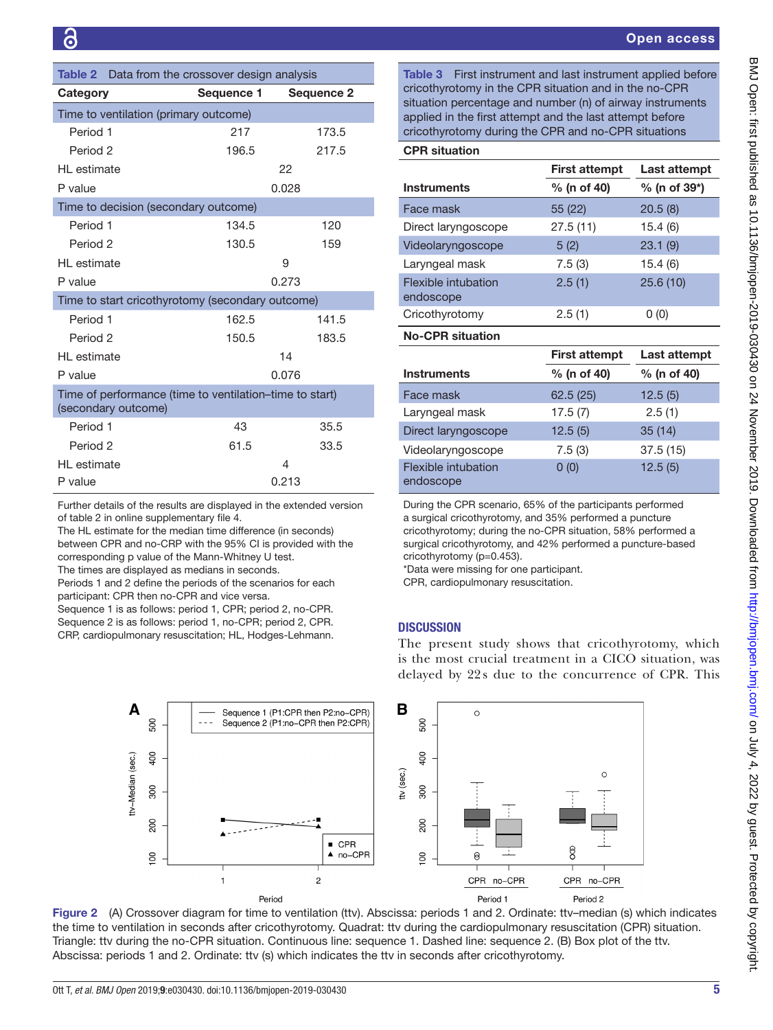<span id="page-4-0"></span>

| <b>Table 2</b> Data from the crossover design analysis                         |            |                   |  |  |
|--------------------------------------------------------------------------------|------------|-------------------|--|--|
| Category                                                                       | Sequence 1 | <b>Sequence 2</b> |  |  |
| Time to ventilation (primary outcome)                                          |            |                   |  |  |
| Period 1                                                                       | 217        | 173.5             |  |  |
| Period 2                                                                       | 196.5      | 217.5             |  |  |
| HI estimate                                                                    |            | 22                |  |  |
| P value                                                                        |            | 0.028             |  |  |
| Time to decision (secondary outcome)                                           |            |                   |  |  |
| Period 1                                                                       | 134.5      | 120               |  |  |
| Period <sub>2</sub>                                                            | 130.5      | 159               |  |  |
| HI estimate                                                                    |            | 9                 |  |  |
| P value                                                                        |            | 0.273             |  |  |
| Time to start cricothyrotomy (secondary outcome)                               |            |                   |  |  |
| Period 1                                                                       | 162.5      | 141.5             |  |  |
| Period <sub>2</sub>                                                            | 150.5      | 183.5             |  |  |
| HI estimate                                                                    |            | 14                |  |  |
| P value                                                                        |            | 0.076             |  |  |
| Time of performance (time to ventilation-time to start)<br>(secondary outcome) |            |                   |  |  |
| Period 1                                                                       | 43         | 35.5              |  |  |
| Period 2                                                                       | 61.5       | 33.5              |  |  |
| HI estimate                                                                    |            | 4                 |  |  |
| P value                                                                        |            | 0.213             |  |  |

Further details of the results are displayed in the extended version of [table 2](#page-4-0) in [online supplementary file 4](https://dx.doi.org/10.1136/bmjopen-2019-030430).

The HL estimate for the median time difference (in seconds) between CPR and no-CRP with the 95% CI is provided with the corresponding p value of the Mann-Whitney U test.

The times are displayed as medians in seconds.

Periods 1 and 2 define the periods of the scenarios for each participant: CPR then no-CPR and vice versa.

Sequence 1 is as follows: period 1, CPR; period 2, no-CPR. Sequence 2 is as follows: period 1, no-CPR; period 2, CPR. CRP, cardiopulmonary resuscitation; HL, Hodges-Lehmann. <span id="page-4-2"></span>Table 3 First instrument and last instrument applied before cricothyrotomy in the CPR situation and in the no-CPR situation percentage and number (n) of airway instruments applied in the first attempt and the last attempt before cricothyrotomy during the CPR and no-CPR situations

| <b>CPR situation</b>             |                      |              |  |  |
|----------------------------------|----------------------|--------------|--|--|
|                                  | <b>First attempt</b> | Last attempt |  |  |
| <b>Instruments</b>               | % (n of 40)          | % (n of 39*) |  |  |
| Face mask                        | 55 (22)              | 20.5(8)      |  |  |
| Direct laryngoscope              | 27.5(11)             | 15.4(6)      |  |  |
| Videolaryngoscope                | 5(2)                 | 23.1(9)      |  |  |
| Laryngeal mask                   | 7.5(3)               | 15.4(6)      |  |  |
| Flexible intubation<br>endoscope | 2.5(1)               | 25.6(10)     |  |  |
| Cricothyrotomy                   | 2.5(1)               | 0 (0)        |  |  |

No-CPR situation

|                                  | <b>First attempt</b> | Last attempt |
|----------------------------------|----------------------|--------------|
| <b>Instruments</b>               | % (n of 40)          | % (n of 40)  |
| Face mask                        | 62.5(25)             | 12.5(5)      |
| Laryngeal mask                   | 17.5(7)              | 2.5(1)       |
| Direct laryngoscope              | 12.5(5)              | 35(14)       |
| Videolaryngoscope                | 7.5(3)               | 37.5(15)     |
| Flexible intubation<br>endoscope | 0(0)                 | 12.5(5)      |

During the CPR scenario, 65% of the participants performed a surgical cricothyrotomy, and 35% performed a puncture cricothyrotomy; during the no-CPR situation, 58% performed a surgical cricothyrotomy, and 42% performed a puncture-based cricothyrotomy (p=0.453).

\*Data were missing for one participant.

CPR, cardiopulmonary resuscitation.

## **DISCUSSION**

The present study shows that cricothyrotomy, which is the most crucial treatment in a CICO situation, was delayed by 22s due to the concurrence of CPR. This



<span id="page-4-1"></span>Figure 2 (A) Crossover diagram for time to ventilation (ttv). Abscissa: periods 1 and 2. Ordinate: ttv–median (s) which indicates the time to ventilation in seconds after cricothyrotomy. Quadrat: ttv during the cardiopulmonary resuscitation (CPR) situation. Triangle: ttv during the no-CPR situation. Continuous line: sequence 1. Dashed line: sequence 2. (B) Box plot of the ttv. Abscissa: periods 1 and 2. Ordinate: ttv (s) which indicates the ttv in seconds after cricothyrotomy.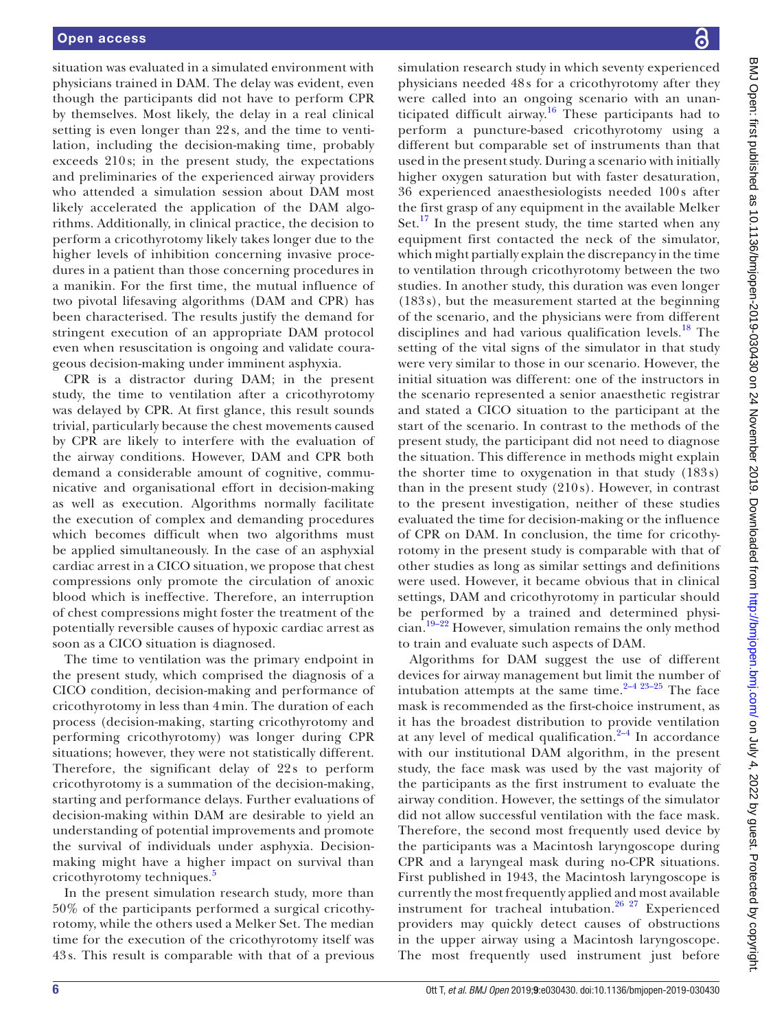situation was evaluated in a simulated environment with physicians trained in DAM. The delay was evident, even though the participants did not have to perform CPR by themselves. Most likely, the delay in a real clinical setting is even longer than 22 s, and the time to ventilation, including the decision-making time, probably exceeds 210 s; in the present study, the expectations and preliminaries of the experienced airway providers who attended a simulation session about DAM most likely accelerated the application of the DAM algorithms. Additionally, in clinical practice, the decision to perform a cricothyrotomy likely takes longer due to the higher levels of inhibition concerning invasive procedures in a patient than those concerning procedures in a manikin. For the first time, the mutual influence of two pivotal lifesaving algorithms (DAM and CPR) has been characterised. The results justify the demand for stringent execution of an appropriate DAM protocol even when resuscitation is ongoing and validate courageous decision-making under imminent asphyxia.

CPR is a distractor during DAM; in the present study, the time to ventilation after a cricothyrotomy was delayed by CPR. At first glance, this result sounds trivial, particularly because the chest movements caused by CPR are likely to interfere with the evaluation of the airway conditions. However, DAM and CPR both demand a considerable amount of cognitive, communicative and organisational effort in decision-making as well as execution. Algorithms normally facilitate the execution of complex and demanding procedures which becomes difficult when two algorithms must be applied simultaneously. In the case of an asphyxial cardiac arrest in a CICO situation, we propose that chest compressions only promote the circulation of anoxic blood which is ineffective. Therefore, an interruption of chest compressions might foster the treatment of the potentially reversible causes of hypoxic cardiac arrest as soon as a CICO situation is diagnosed.

The time to ventilation was the primary endpoint in the present study, which comprised the diagnosis of a CICO condition, decision-making and performance of cricothyrotomy in less than 4 min. The duration of each process (decision-making, starting cricothyrotomy and performing cricothyrotomy) was longer during CPR situations; however, they were not statistically different. Therefore, the significant delay of 22s to perform cricothyrotomy is a summation of the decision-making, starting and performance delays. Further evaluations of decision-making within DAM are desirable to yield an understanding of potential improvements and promote the survival of individuals under asphyxia. Decisionmaking might have a higher impact on survival than cricothyrotomy techniques.<sup>[5](#page-6-3)</sup>

In the present simulation research study, more than 50% of the participants performed a surgical cricothyrotomy, while the others used a Melker Set. The median time for the execution of the cricothyrotomy itself was 43 s. This result is comparable with that of a previous

simulation research study in which seventy experienced physicians needed 48 s for a cricothyrotomy after they were called into an ongoing scenario with an unanticipated difficult airway.<sup>16</sup> These participants had to perform a puncture-based cricothyrotomy using a different but comparable set of instruments than that used in the present study. During a scenario with initially higher oxygen saturation but with faster desaturation, 36 experienced anaesthesiologists needed 100 s after the first grasp of any equipment in the available Melker Set. $^{17}$  In the present study, the time started when any equipment first contacted the neck of the simulator, which might partially explain the discrepancy in the time to ventilation through cricothyrotomy between the two studies. In another study, this duration was even longer (183 s), but the measurement started at the beginning of the scenario, and the physicians were from different disciplines and had various qualification levels. $18$  The setting of the vital signs of the simulator in that study were very similar to those in our scenario. However, the initial situation was different: one of the instructors in the scenario represented a senior anaesthetic registrar and stated a CICO situation to the participant at the start of the scenario. In contrast to the methods of the present study, the participant did not need to diagnose the situation. This difference in methods might explain the shorter time to oxygenation in that study (183 s) than in the present study (210 s). However, in contrast to the present investigation, neither of these studies evaluated the time for decision-making or the influence of CPR on DAM. In conclusion, the time for cricothyrotomy in the present study is comparable with that of other studies as long as similar settings and definitions were used. However, it became obvious that in clinical settings, DAM and cricothyrotomy in particular should be performed by a trained and determined physician.[19–22](#page-7-7) However, simulation remains the only method to train and evaluate such aspects of DAM.

Algorithms for DAM suggest the use of different devices for airway management but limit the number of intubation attempts at the same time. $2-423-25$  The face mask is recommended as the first-choice instrument, as it has the broadest distribution to provide ventilation at any level of medical qualification. $2-4$  In accordance with our institutional DAM algorithm, in the present study, the face mask was used by the vast majority of the participants as the first instrument to evaluate the airway condition. However, the settings of the simulator did not allow successful ventilation with the face mask. Therefore, the second most frequently used device by the participants was a Macintosh laryngoscope during CPR and a laryngeal mask during no-CPR situations. First published in 1943, the Macintosh laryngoscope is currently the most frequently applied and most available instrument for tracheal intubation.<sup>26</sup> <sup>27</sup> Experienced providers may quickly detect causes of obstructions in the upper airway using a Macintosh laryngoscope. The most frequently used instrument just before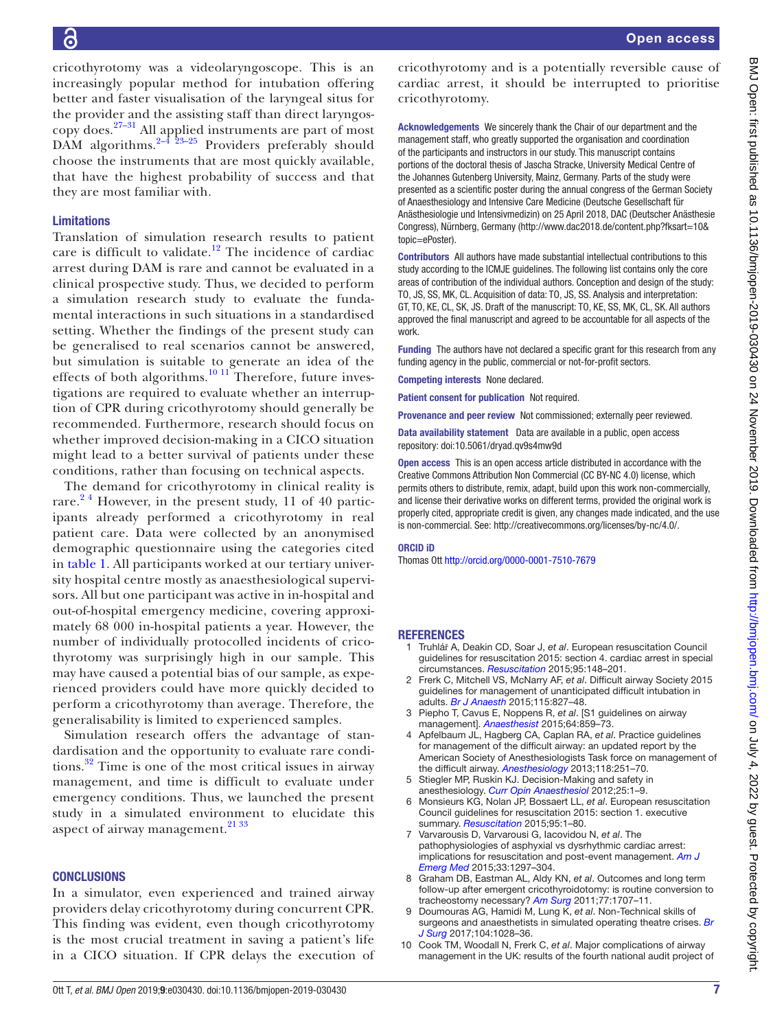cricothyrotomy was a videolaryngoscope. This is an increasingly popular method for intubation offering better and faster visualisation of the laryngeal situs for the provider and the assisting staff than direct laryngos-copy does.<sup>[27–31](#page-7-9)</sup> All applied instruments are part of most DAM algorithms. $2-4$   $23-25$  Providers preferably should choose the instruments that are most quickly available, that have the highest probability of success and that they are most familiar with.

## Limitations

Translation of simulation research results to patient care is difficult to validate.<sup>[12](#page-7-0)</sup> The incidence of cardiac arrest during DAM is rare and cannot be evaluated in a clinical prospective study. Thus, we decided to perform a simulation research study to evaluate the fundamental interactions in such situations in a standardised setting. Whether the findings of the present study can be generalised to real scenarios cannot be answered, but simulation is suitable to generate an idea of the effects of both algorithms. $10^{11}$  Therefore, future investigations are required to evaluate whether an interruption of CPR during cricothyrotomy should generally be recommended. Furthermore, research should focus on whether improved decision-making in a CICO situation might lead to a better survival of patients under these conditions, rather than focusing on technical aspects.

The demand for cricothyrotomy in clinical reality is rare.<sup>24</sup> However, in the present study, 11 of 40 participants already performed a cricothyrotomy in real patient care. Data were collected by an anonymised demographic questionnaire using the categories cited in [table](#page-3-0) 1. All participants worked at our tertiary university hospital centre mostly as anaesthesiological supervisors. All but one participant was active in in-hospital and out-of-hospital emergency medicine, covering approximately 68 000 in-hospital patients a year. However, the number of individually protocolled incidents of cricothyrotomy was surprisingly high in our sample. This may have caused a potential bias of our sample, as experienced providers could have more quickly decided to perform a cricothyrotomy than average. Therefore, the generalisability is limited to experienced samples.

Simulation research offers the advantage of standardisation and the opportunity to evaluate rare conditions.[32](#page-7-10) Time is one of the most critical issues in airway management, and time is difficult to evaluate under emergency conditions. Thus, we launched the present study in a simulated environment to elucidate this aspect of airway management. $2^{133}$ 

#### **CONCLUSIONS**

In a simulator, even experienced and trained airway providers delay cricothyrotomy during concurrent CPR. This finding was evident, even though cricothyrotomy is the most crucial treatment in saving a patient's life in a CICO situation. If CPR delays the execution of

cricothyrotomy and is a potentially reversible cause of cardiac arrest, it should be interrupted to prioritise cricothyrotomy.

Acknowledgements We sincerely thank the Chair of our department and the management staff, who greatly supported the organisation and coordination of the participants and instructors in our study. This manuscript contains portions of the doctoral thesis of Jascha Stracke, University Medical Centre of the Johannes Gutenberg University, Mainz, Germany. Parts of the study were presented as a scientific poster during the annual congress of the German Society of Anaesthesiology and Intensive Care Medicine (Deutsche Gesellschaft für Anästhesiologie und Intensivmedizin) on 25 April 2018, DAC (Deutscher Anästhesie Congress), Nürnberg, Germany [\(http://www.dac2018.de/content.php?fksart=10&](http://www.dac2018.de/content.php?fksart=10&topic=ePoster) [topic=ePoster](http://www.dac2018.de/content.php?fksart=10&topic=ePoster)).

Contributors All authors have made substantial intellectual contributions to this study according to the ICMJE guidelines. The following list contains only the core areas of contribution of the individual authors. Conception and design of the study: TO, JS, SS, MK, CL. Acquisition of data: TO, JS, SS. Analysis and interpretation: GT, TO, KE, CL, SK, JS. Draft of the manuscript: TO, KE, SS, MK, CL, SK. All authors approved the final manuscript and agreed to be accountable for all aspects of the work.

Funding The authors have not declared a specific grant for this research from any funding agency in the public, commercial or not-for-profit sectors.

Competing interests None declared.

Patient consent for publication Not required.

Provenance and peer review Not commissioned; externally peer reviewed.

Data availability statement Data are available in a public, open access repository: doi:10.5061/dryad.qv9s4mw9d

Open access This is an open access article distributed in accordance with the Creative Commons Attribution Non Commercial (CC BY-NC 4.0) license, which permits others to distribute, remix, adapt, build upon this work non-commercially, and license their derivative works on different terms, provided the original work is properly cited, appropriate credit is given, any changes made indicated, and the use is non-commercial. See: [http://creativecommons.org/licenses/by-nc/4.0/.](http://creativecommons.org/licenses/by-nc/4.0/)

#### ORCID iD

Thomas Ott <http://orcid.org/0000-0001-7510-7679>

#### **REFERENCES**

- <span id="page-6-0"></span>1 Truhlář A, Deakin CD, Soar J, *et al*. European resuscitation Council guidelines for resuscitation 2015: section 4. cardiac arrest in special circumstances. *[Resuscitation](http://dx.doi.org/10.1016/j.resuscitation.2015.07.017)* 2015;95:148–201.
- <span id="page-6-1"></span>2 Frerk C, Mitchell VS, McNarry AF, *et al*. Difficult airway Society 2015 guidelines for management of unanticipated difficult intubation in adults. *[Br J Anaesth](http://dx.doi.org/10.1093/bja/aev371)* 2015;115:827–48.
- 3 Piepho T, Cavus E, Noppens R, *et al*. [S1 guidelines on airway management]. *[Anaesthesist](http://dx.doi.org/10.1007/s00101-015-0087-6)* 2015;64:859–73.
- 4 Apfelbaum JL, Hagberg CA, Caplan RA, *et al*. Practice guidelines for management of the difficult airway: an updated report by the American Society of Anesthesiologists Task force on management of the difficult airway. *[Anesthesiology](http://dx.doi.org/10.1097/ALN.0b013e31827773b2)* 2013;118:251–70.
- <span id="page-6-3"></span>5 Stiegler MP, Ruskin KJ. Decision-Making and safety in anesthesiology. *[Curr Opin Anaesthesiol](http://dx.doi.org/10.1097/ACO.0b013e328359307a)* 2012;25:1–9.
- 6 Monsieurs KG, Nolan JP, Bossaert LL, *et al*. European resuscitation Council guidelines for resuscitation 2015: section 1. executive summary. *[Resuscitation](http://dx.doi.org/10.1016/j.resuscitation.2015.07.038)* 2015;95:1–80.
- 7 Varvarousis D, Varvarousi G, Iacovidou N, *et al*. The pathophysiologies of asphyxial vs dysrhythmic cardiac arrest: implications for resuscitation and post-event management. *[Am J](http://dx.doi.org/10.1016/j.ajem.2015.06.066)  [Emerg Med](http://dx.doi.org/10.1016/j.ajem.2015.06.066)* 2015;33:1297–304.
- 8 Graham DB, Eastman AL, Aldy KN, *et al*. Outcomes and long term follow-up after emergent cricothyroidotomy: is routine conversion to tracheostomy necessary? *[Am Surg](http://www.ncbi.nlm.nih.gov/pubmed/22273235)* 2011;77:1707–11.
- <span id="page-6-2"></span>9 Doumouras AG, Hamidi M, Lung K, *et al*. Non-Technical skills of surgeons and anaesthetists in simulated operating theatre crises. *[Br](http://dx.doi.org/10.1002/bjs.10526)  [J Surg](http://dx.doi.org/10.1002/bjs.10526)* 2017;104:1028–36.
- <span id="page-6-4"></span>10 Cook TM, Woodall N, Frerk C, *et al*. Major complications of airway management in the UK: results of the fourth national audit project of